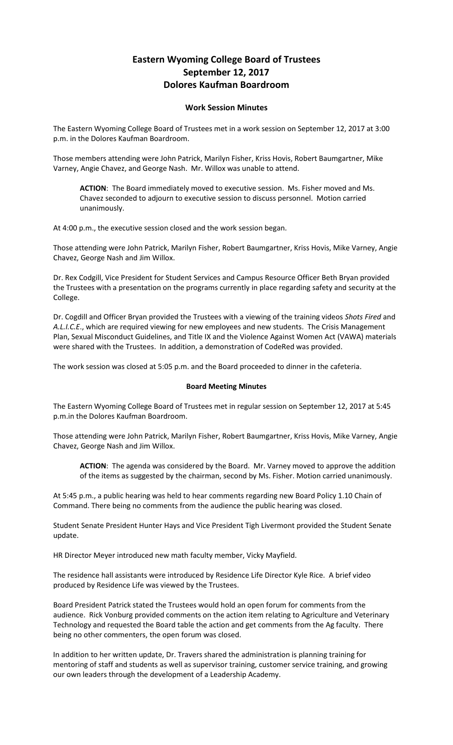## **Eastern Wyoming College Board of Trustees September 12, 2017 Dolores Kaufman Boardroom**

## **Work Session Minutes**

The Eastern Wyoming College Board of Trustees met in a work session on September 12, 2017 at 3:00 p.m. in the Dolores Kaufman Boardroom.

Those members attending were John Patrick, Marilyn Fisher, Kriss Hovis, Robert Baumgartner, Mike Varney, Angie Chavez, and George Nash. Mr. Willox was unable to attend.

**ACTION**: The Board immediately moved to executive session. Ms. Fisher moved and Ms. Chavez seconded to adjourn to executive session to discuss personnel. Motion carried unanimously.

At 4:00 p.m., the executive session closed and the work session began.

Those attending were John Patrick, Marilyn Fisher, Robert Baumgartner, Kriss Hovis, Mike Varney, Angie Chavez, George Nash and Jim Willox.

Dr. Rex Codgill, Vice President for Student Services and Campus Resource Officer Beth Bryan provided the Trustees with a presentation on the programs currently in place regarding safety and security at the College.

Dr. Cogdill and Officer Bryan provided the Trustees with a viewing of the training videos *Shots Fired* and *A.L.I.C.E*., which are required viewing for new employees and new students. The Crisis Management Plan, Sexual Misconduct Guidelines, and Title IX and the Violence Against Women Act (VAWA) materials were shared with the Trustees. In addition, a demonstration of CodeRed was provided.

The work session was closed at 5:05 p.m. and the Board proceeded to dinner in the cafeteria.

## **Board Meeting Minutes**

The Eastern Wyoming College Board of Trustees met in regular session on September 12, 2017 at 5:45 p.m.in the Dolores Kaufman Boardroom.

Those attending were John Patrick, Marilyn Fisher, Robert Baumgartner, Kriss Hovis, Mike Varney, Angie Chavez, George Nash and Jim Willox.

**ACTION**: The agenda was considered by the Board. Mr. Varney moved to approve the addition of the items as suggested by the chairman, second by Ms. Fisher. Motion carried unanimously.

At 5:45 p.m., a public hearing was held to hear comments regarding new Board Policy 1.10 Chain of Command. There being no comments from the audience the public hearing was closed.

Student Senate President Hunter Hays and Vice President Tigh Livermont provided the Student Senate update.

HR Director Meyer introduced new math faculty member, Vicky Mayfield.

The residence hall assistants were introduced by Residence Life Director Kyle Rice. A brief video produced by Residence Life was viewed by the Trustees.

Board President Patrick stated the Trustees would hold an open forum for comments from the audience. Rick Vonburg provided comments on the action item relating to Agriculture and Veterinary Technology and requested the Board table the action and get comments from the Ag faculty. There being no other commenters, the open forum was closed.

In addition to her written update, Dr. Travers shared the administration is planning training for mentoring of staff and students as well as supervisor training, customer service training, and growing our own leaders through the development of a Leadership Academy.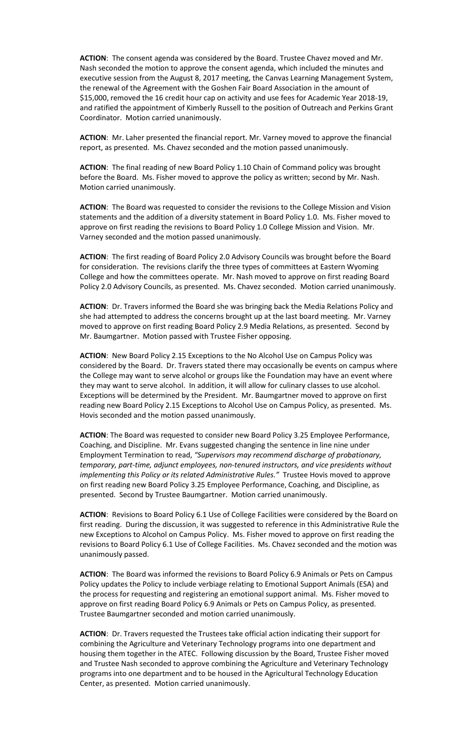**ACTION**: The consent agenda was considered by the Board. Trustee Chavez moved and Mr. Nash seconded the motion to approve the consent agenda, which included the minutes and executive session from the August 8, 2017 meeting, the Canvas Learning Management System, the renewal of the Agreement with the Goshen Fair Board Association in the amount of \$15,000, removed the 16 credit hour cap on activity and use fees for Academic Year 2018-19, and ratified the appointment of Kimberly Russell to the position of Outreach and Perkins Grant Coordinator. Motion carried unanimously.

**ACTION**: Mr. Laher presented the financial report. Mr. Varney moved to approve the financial report, as presented. Ms. Chavez seconded and the motion passed unanimously.

**ACTION**: The final reading of new Board Policy 1.10 Chain of Command policy was brought before the Board. Ms. Fisher moved to approve the policy as written; second by Mr. Nash. Motion carried unanimously.

**ACTION**: The Board was requested to consider the revisions to the College Mission and Vision statements and the addition of a diversity statement in Board Policy 1.0. Ms. Fisher moved to approve on first reading the revisions to Board Policy 1.0 College Mission and Vision. Mr. Varney seconded and the motion passed unanimously.

**ACTION**: The first reading of Board Policy 2.0 Advisory Councils was brought before the Board for consideration. The revisions clarify the three types of committees at Eastern Wyoming College and how the committees operate. Mr. Nash moved to approve on first reading Board Policy 2.0 Advisory Councils, as presented. Ms. Chavez seconded. Motion carried unanimously.

**ACTION**: Dr. Travers informed the Board she was bringing back the Media Relations Policy and she had attempted to address the concerns brought up at the last board meeting. Mr. Varney moved to approve on first reading Board Policy 2.9 Media Relations, as presented. Second by Mr. Baumgartner. Motion passed with Trustee Fisher opposing.

**ACTION**: New Board Policy 2.15 Exceptions to the No Alcohol Use on Campus Policy was considered by the Board. Dr. Travers stated there may occasionally be events on campus where the College may want to serve alcohol or groups like the Foundation may have an event where they may want to serve alcohol. In addition, it will allow for culinary classes to use alcohol. Exceptions will be determined by the President. Mr. Baumgartner moved to approve on first reading new Board Policy 2.15 Exceptions to Alcohol Use on Campus Policy, as presented. Ms. Hovis seconded and the motion passed unanimously.

**ACTION**: The Board was requested to consider new Board Policy 3.25 Employee Performance, Coaching, and Discipline. Mr. Evans suggested changing the sentence in line nine under Employment Termination to read, *"Supervisors may recommend discharge of probationary, temporary, part-time, adjunct employees, non-tenured instructors, and vice presidents without implementing this Policy or its related Administrative Rules."* Trustee Hovis moved to approve on first reading new Board Policy 3.25 Employee Performance, Coaching, and Discipline, as presented. Second by Trustee Baumgartner. Motion carried unanimously.

**ACTION**: Revisions to Board Policy 6.1 Use of College Facilities were considered by the Board on first reading. During the discussion, it was suggested to reference in this Administrative Rule the new Exceptions to Alcohol on Campus Policy. Ms. Fisher moved to approve on first reading the revisions to Board Policy 6.1 Use of College Facilities. Ms. Chavez seconded and the motion was unanimously passed.

**ACTION**: The Board was informed the revisions to Board Policy 6.9 Animals or Pets on Campus Policy updates the Policy to include verbiage relating to Emotional Support Animals (ESA) and the process for requesting and registering an emotional support animal. Ms. Fisher moved to approve on first reading Board Policy 6.9 Animals or Pets on Campus Policy, as presented. Trustee Baumgartner seconded and motion carried unanimously.

**ACTION**: Dr. Travers requested the Trustees take official action indicating their support for combining the Agriculture and Veterinary Technology programs into one department and housing them together in the ATEC. Following discussion by the Board, Trustee Fisher moved and Trustee Nash seconded to approve combining the Agriculture and Veterinary Technology programs into one department and to be housed in the Agricultural Technology Education Center, as presented. Motion carried unanimously.